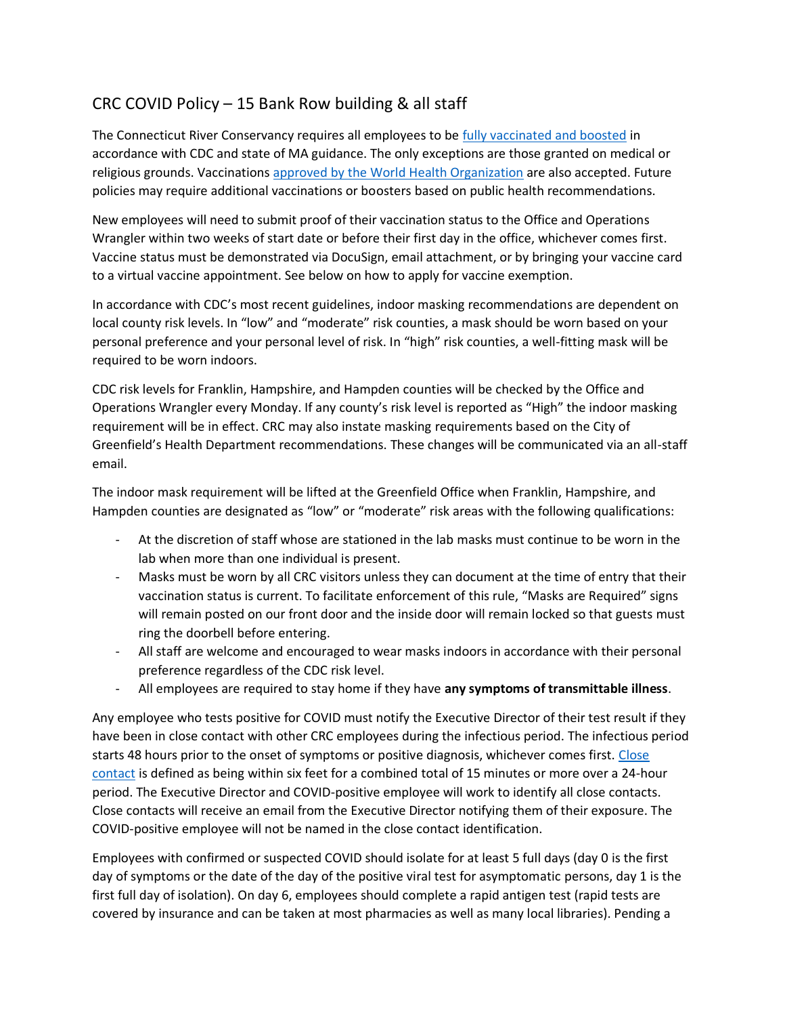## CRC COVID Policy – 15 Bank Row building & all staff

The Connecticut River Conservancy requires all employees to be [fully vaccinated and boosted](https://www.cdc.gov/coronavirus/2019-ncov/vaccines/booster-shot.html) in accordance with CDC and state of MA guidance. The only exceptions are those granted on medical or religious grounds. Vaccinations [approved by the World](https://www.who.int/emergencies/diseases/novel-coronavirus-2019/covid-19-vaccines/advice) Health Organization are also accepted. Future policies may require additional vaccinations or boosters based on public health recommendations.

New employees will need to submit proof of their vaccination status to the Office and Operations Wrangler within two weeks of start date or before their first day in the office, whichever comes first. Vaccine status must be demonstrated via DocuSign, email attachment, or by bringing your vaccine card to a virtual vaccine appointment. See below on how to apply for vaccine exemption.

In accordance with CDC's most recent guidelines, indoor masking recommendations are dependent on local county risk levels. In "low" and "moderate" risk counties, a mask should be worn based on your personal preference and your personal level of risk. In "high" risk counties, a well-fitting mask will be required to be worn indoors.

CDC risk levels for Franklin, Hampshire, and Hampden counties will be checked by the Office and Operations Wrangler every Monday. If any county's risk level is reported as "High" the indoor masking requirement will be in effect. CRC may also instate masking requirements based on the City of Greenfield's Health Department recommendations. These changes will be communicated via an all-staff email.

The indoor mask requirement will be lifted at the Greenfield Office when Franklin, Hampshire, and Hampden counties are designated as "low" or "moderate" risk areas with the following qualifications:

- At the discretion of staff whose are stationed in the lab masks must continue to be worn in the lab when more than one individual is present.
- Masks must be worn by all CRC visitors unless they can document at the time of entry that their vaccination status is current. To facilitate enforcement of this rule, "Masks are Required" signs will remain posted on our front door and the inside door will remain locked so that guests must ring the doorbell before entering.
- All staff are welcome and encouraged to wear masks indoors in accordance with their personal preference regardless of the CDC risk level.
- All employees are required to stay home if they have **any symptoms of transmittable illness**.

Any employee who tests positive for COVID must notify the Executive Director of their test result if they have been in close contact with other CRC employees during the infectious period. The infectious period starts 48 hours prior to the onset of symptoms or positive diagnosis, whichever comes first. [Close](https://www.cdc.gov/coronavirus/2019-ncov/daily-life-coping/tell-your-contacts.html#:~:text=For%20COVID%2D19%2C,before%20they%20were%20tested.)  [contact](https://www.cdc.gov/coronavirus/2019-ncov/daily-life-coping/tell-your-contacts.html#:~:text=For%20COVID%2D19%2C,before%20they%20were%20tested.) is defined as being within six feet for a combined total of 15 minutes or more over a 24-hour period. The Executive Director and COVID-positive employee will work to identify all close contacts. Close contacts will receive an email from the Executive Director notifying them of their exposure. The COVID-positive employee will not be named in the close contact identification.

Employees with confirmed or suspected COVID should isolate for at least 5 full days (day 0 is the first day of symptoms or the date of the day of the positive viral test for asymptomatic persons, day 1 is the first full day of isolation). On day 6, employees should complete a rapid antigen test (rapid tests are covered by insurance and can be taken at most pharmacies as well as many local libraries). Pending a